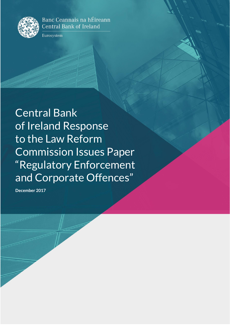

Banc Ceannais na hÉireann **Central Bank of Ireland** 

Eurosystem

Central Bank of Ireland Response to the Law Reform Commission Issues Paper "Regulatory Enforcement and Corporate Offences"

**December 2017**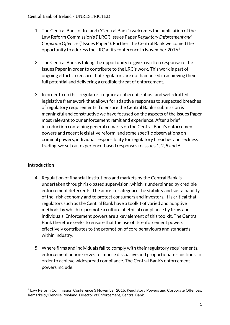- 1. The Central Bank of Ireland ("Central Bank") welcomes the publication of the Law Reform Commission's ("LRC") Issues Paper *Regulatory Enforcement and Corporate Offences* ("Issues Paper")*.* Further, the Central Bank welcomed the opportunity to address the LRC at its conference in November 2016<sup>1</sup>.
- 2. The Central Bank is taking the opportunity to give a written response to the Issues Paper in order to contribute to the LRC's work. This work is part of ongoing efforts to ensure that regulators are not hampered in achieving their full potential and delivering a credible threat of enforcement.
- 3. In order to do this, regulators require a coherent, robust and well-drafted legislative framework that allows for adaptive responses to suspected breaches of regulatory requirements. To ensure the Central Bank's submission is meaningful and constructive we have focused on the aspects of the Issues Paper most relevant to our enforcement remit and experience. After a brief introduction containing general remarks on the Central Bank's enforcement powers and recent legislative reform, and some specific observations on criminal powers, individual responsibility for regulatory breaches and reckless trading, we set out experience-based responses to issues 1, 2, 5 and 6.

# **Introduction**

- 4. Regulation of financial institutions and markets by the Central Bank is undertaken through risk-based supervision, which is underpinned by credible enforcement deterrents. The aim is to safeguard the stability and sustainability of the Irish economy and to protect consumers and investors. It is critical that regulators such as the Central Bank have a toolkit of varied and adaptive methods by which to promote a culture of ethical compliance by firms and individuals. Enforcement powers are a key element of this toolkit. The Central Bank therefore seeks to ensure that the use of its enforcement powers effectively contributes to the promotion of core behaviours and standards within industry.
- 5. Where firms and individuals fail to comply with their regulatory requirements, enforcement action serves to impose dissuasive and proportionate sanctions, in order to achieve widespread compliance. The Central Bank's enforcement powers include:

**<sup>.</sup>** <sup>1</sup> Law Reform Commission Conference 3 November 2016, Regulatory Powers and Corporate Offences, Remarks by Derville Rowland, Director of Enforcement, Central Bank.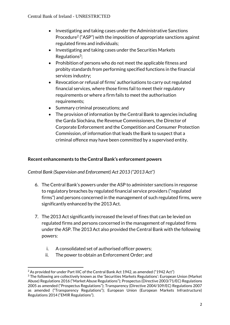- Investigating and taking cases under the Administrative Sanctions Procedure<sup>2</sup> ("ASP") with the imposition of appropriate sanctions against regulated firms and individuals;
- Investigating and taking cases under the Securities Markets  $Regulations<sup>3</sup>$ ;
- Prohibition of persons who do not meet the applicable fitness and probity standards from performing specified functions in the financial services industry;
- Revocation or refusal of firms' authorisations to carry out regulated financial services, where those firms fail to meet their regulatory requirements or where a firm fails to meet the authorisation requirements;
- Summary criminal prosecutions; and
- The provision of information by the Central Bank to agencies including the Garda Síochána, the Revenue Commissioners, the Director of Corporate Enforcement and the Competition and Consumer Protection Commission, of information that leads the Bank to suspect that a criminal offence may have been committed by a supervised entity.

# **Recent enhancements to the Central Bank's enforcement powers**

*Central Bank (Supervision and Enforcement) Act 2013 ("2013 Act")*

- 6. The Central Bank's powers under the ASP to administer sanctions in response to regulatory breaches by regulated financial service providers ("regulated firms") and persons concerned in the management of such regulated firms, were significantly enhanced by the 2013 Act.
- 7. The 2013 Act significantly increased the level of fines that can be levied on regulated firms and persons concerned in the management of regulated firms under the ASP. The 2013 Act also provided the Central Bank with the following powers:
	- i. A consolidated set of authorised officer powers;
	- ii. The power to obtain an Enforcement Order; and

**<sup>.</sup>**  $2$  As provided for under Part IIIC of the Central Bank Act 1942, as amended ("1942 Act")

<sup>3</sup> The following are collectively known as the 'Securities Markets Regulations': European Union (Market Abuse) Regulations 2016 ("Market Abuse Regulations"); Prospectus (Directive 2003/71/EC) Regulations 2005 as amended ("Prospectus Regulations"); Transparency (Directive 2004/109/EC) Regulations 2007 as amended ("Transparency Regulations"); European Union (European Markets Infrastructure) Regulations 2014 ("EMIR Regulations").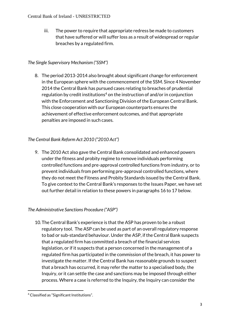iii. The power to require that appropriate redress be made to customers that have suffered or will suffer loss as a result of widespread or regular breaches by a regulated firm.

# *The Single Supervisory Mechanism ("SSM")*

8. The period 2013-2014 also brought about significant change for enforcement in the European sphere with the commencement of the SSM. Since 4 November 2014 the Central Bank has pursued cases relating to breaches of prudential regulation by credit institutions<sup>4</sup> on the instruction of and/or in conjunction with the Enforcement and Sanctioning Division of the European Central Bank. This close cooperation with our European counterparts ensures the achievement of effective enforcement outcomes, and that appropriate penalties are imposed in such cases.

# *The Central Bank Reform Act 2010 ("2010 Act")*

9. The 2010 Act also gave the Central Bank consolidated and enhanced powers under the fitness and probity regime to remove individuals performing controlled functions and pre-approval controlled functions from industry, or to prevent individuals from performing pre-approval controlled functions, where they do not meet the Fitness and Probity Standards issued by the Central Bank. To give context to the Central Bank's responses to the Issues Paper, we have set out further detail in relation to these powers in paragraph[s 16](#page-5-0) to [17](#page-5-1) below.

# *The Administrative Sanctions Procedure ("ASP")*

10.The Central Bank's experience is that the ASP has proven to be a robust regulatory tool. The ASP can be used as part of an overall regulatory response to bad or sub-standard behaviour. Under the ASP, if the Central Bank suspects that a regulated firm has committed a breach of the financial services legislation, or if it suspects that a person concerned in the management of a regulated firm has participated in the commission of the breach, it has power to investigate the matter. If the Central Bank has reasonable grounds to suspect that a breach has occurred, it may refer the matter to a specialised body, the Inquiry, or it can settle the case and sanctions may be imposed through either process. Where a case is referred to the Inquiry, the Inquiry can consider the

**<sup>.</sup>** <sup>4</sup> Classified as "Significant Institutions".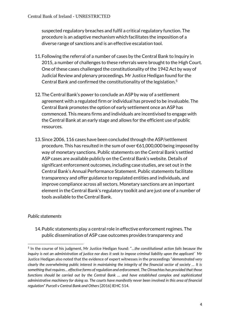suspected regulatory breaches and fulfil a critical regulatory function. The procedure is an adaptive mechanism which facilitates the imposition of a diverse range of sanctions and is an effective escalation tool.

- 11.Following the referral of a number of cases by the Central Bank to Inquiry in 2015, a number of challenges to these referrals were brought to the High Court. One of these cases challenged the constitutionality of the 1942 Act by way of Judicial Review and plenary proceedings. Mr Justice Hedigan found for the Central Bank and confirmed the constitutionality of the legislation.<sup>5</sup>
- 12.The Central Bank's power to conclude an ASP by way of a settlement agreement with a regulated firm or individual has proved to be invaluable. The Central Bank promotes the option of early settlement once an ASP has commenced. This means firms and individuals are incentivised to engage with the Central Bank at an early stage and allows for the efficient use of public resources.
- 13.Since 2006, 116 cases have been concluded through the ASP/settlement procedure. This has resulted in the sum of over €61,000,000 being imposed by way of monetary sanctions. Public statements on the Central Bank's settled ASP cases are available publicly on the Central Bank's website. Details of significant enforcement outcomes, including case studies, are set out in the Central Bank's Annual Performance Statement. Public statements facilitate transparency and offer guidance to regulated entities and individuals, and improve compliance across all sectors. Monetary sanctions are an important element in the Central Bank's regulatory toolkit and are just one of a number of tools available to the Central Bank.

# *Public statements*

1

14.Public statements play a central role in effective enforcement regimes. The public dissemination of ASP case outcomes provides transparency and

<sup>5</sup> In the course of his judgment, Mr Justice Hedigan found: "…*the constitutional action fails because the inquiry is not an administration of justice nor does it seek to impose criminal liability upon the applicant'* Mr Justice Hedigan also noted that the evidence of expert witnesses in the proceedings "*demonstrated very clearly the overwhelming public interest in maintaining the integrity of the financial sector of society … It is something that requires… effective forms of regulation and enforcement. The Oireachtas has provided that those functions should be carried out by the Central Bank … and have established complex and sophisticated administrative machinery for doing so. The courts have manifestly never been involved in this area of financial regulation*" *Purcell v Central Bank and Others* [2016] IEHC 514.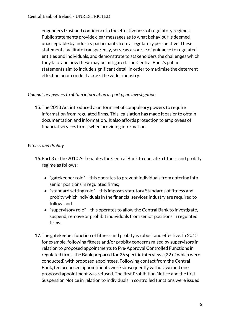engenders trust and confidence in the effectiveness of regulatory regimes. Public statements provide clear messages as to what behaviour is deemed unacceptable by industry participants from a regulatory perspective. These statements facilitate transparency, serve as a source of guidance to regulated entities and individuals, and demonstrate to stakeholders the challenges which they face and how these may be mitigated. The Central Bank's public statements aim to include significant detail in order to maximise the deterrent effect on poor conduct across the wider industry.

# *Compulsory powers to obtain information as part of an investigation*

15.The 2013 Act introduced a uniform set of compulsory powers to require information from regulated firms. This legislation has made it easier to obtain documentation and information. It also affords protection to employees of financial services firms, when providing information.

# *Fitness and Probity*

- <span id="page-5-0"></span>16.Part 3 of the 2010 Act enables the Central Bank to operate a fitness and probity regime as follows:
	- "gatekeeper role" this operates to prevent individuals from entering into senior positions in regulated firms;
	- "standard setting role" this imposes statutory Standards of fitness and probity which individuals in the financial services industry are required to follow; and
	- "supervisory role" this operates to allow the Central Bank to investigate, suspend, remove or prohibit individuals from senior positions in regulated firms.
- <span id="page-5-1"></span>17.The gatekeeper function of fitness and probity is robust and effective. In 2015 for example, following fitness and/or probity concerns raised by supervisors in relation to proposed appointments to Pre-Approval Controlled Functions in regulated firms, the Bank prepared for 26 specific interviews (22 of which were conducted) with proposed appointees. Following contact from the Central Bank, ten proposed appointments were subsequently withdrawn and one proposed appointment was refused. The first Prohibition Notice and the first Suspension Notice in relation to individuals in controlled functions were issued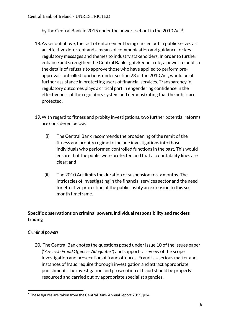by the Central Bank in 2015 under the powers set out in the 2010 Act<sup>6</sup>.

- 18.As set out above, the fact of enforcement being carried out in public serves as an effective deterrent and a means of communication and guidance for key regulatory messages and themes to industry stakeholders. In order to further enhance and strengthen the Central Bank's gatekeeper role, a power to publish the details of refusals to approve those who have applied to perform preapproval controlled functions under section 23 of the 2010 Act, would be of further assistance in protecting users of financial services. Transparency in regulatory outcomes plays a critical part in engendering confidence in the effectiveness of the regulatory system and demonstrating that the public are protected.
- 19.With regard to fitness and probity investigations, two further potential reforms are considered below:
	- (i) The Central Bank recommends the broadening of the remit of the fitness and probity regime to include investigations into those individuals who performed controlled functions in the past. This would ensure that the public were protected and that accountability lines are clear; and
	- (ii) The 2010 Act limits the duration of suspension to six months. The intricacies of investigating in the financial services sector and the need for effective protection of the public justify an extension to this six month timeframe.

# **Specific observations on criminal powers, individual responsibility and reckless trading**

# *Criminal powers*

20. The Central Bank notes the questions posed under Issue 10 of the Issues paper ("*Are Irish Fraud Offences Adequate?"*) and supports a review of the scope, investigation and prosecution of fraud offences. Fraud is a serious matter and instances of fraud require thorough investigation and attract appropriate punishment. The investigation and prosecution of fraud should be properly resourced and carried out by appropriate specialist agencies.

**<sup>.</sup>** <sup>6</sup> These figures are taken from the Central Bank Annual report 2015, p34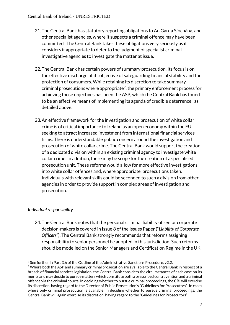- 21.The Central Bank has statutory reporting obligations to An Garda Síochána, and other specialist agencies, where it suspects a criminal offence may have been committed. The Central Bank takes these obligations very seriously as it considers it appropriate to defer to the judgment of specialist criminal investigative agencies to investigate the matter at issue.
- 22.The Central Bank has certain powers of summary prosecution. Its focus is on the effective discharge of its objective of safeguarding financial stability and the protection of consumers. While retaining its discretion to take summary criminal prosecutions where appropriate<sup>7</sup> , the primary enforcement process for achieving those objectives has been the ASP, which the Central Bank has found to be an effective means of implementing its agenda of credible deterrence<sup>8</sup> as detailed above.
- <span id="page-7-0"></span>23.An effective framework for the investigation and prosecution of white collar crime is of critical importance to Ireland as an open economy within the EU, seeking to attract increased investment from international financial services firms. There is understandable public concern around the investigation and prosecution of white collar crime. The Central Bank would support the creation of a dedicated division within an existing criminal agency to investigate white collar crime. In addition, there may be scope for the creation of a specialised prosecution unit. These reforms would allow for more effective investigations into white collar offences and, where appropriate, prosecutions taken. Individuals with relevant skills could be seconded to such a division from other agencies in order to provide support in complex areas of investigation and prosecution.

# *Individual responsibility*

24.The Central Bank notes that the personal criminal liability of senior corporate decision-makers is covered in Issue 8 of the Issues Paper ("*Liability of Corporate Officers"*). The Central Bank strongly recommends that reforms assigning responsibility to senior personnel be adopted in this jurisdiction. Such reforms should be modelled on the Senior Managers and Certification Regime in the UK

**<sup>.</sup>** <sup>7</sup> See further in Part 3.6 of the Outline of the Administrative Sanctions Procedure, v2.2.

<sup>8</sup> Where both the ASP and summary criminal prosecution are available to the Central Bank in respect of a breach of financial services legislation, the Central Bank considers the circumstances of each case on its merits and may decide to pursue matters which constitute both a prescribed contravention and a criminal offence via the criminal courts. In deciding whether to pursue criminal proceedings, the CBI will exercise its discretion, having regard to the Director of Public Prosecution's "Guidelines for Prosecutors". In cases where only criminal prosecution is available, in deciding whether to pursue criminal proceedings, the Central Bank will again exercise its discretion, having regard to the "Guidelines for Prosecutors".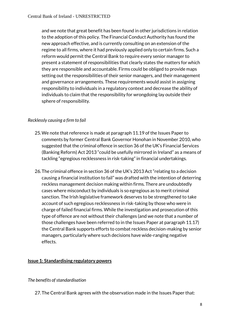and we note that great benefit has been found in other jurisdictions in relation to the adoption of this policy. The Financial Conduct Authority has found the new approach effective, and is currently consulting on an extension of the regime to all firms, where it had previously applied only to certain firms. Such a reform would permit the Central Bank to require every senior manager to present a statement of responsibilities that clearly states the matters for which they are responsible and accountable. Firms could be obliged to provide maps setting out the responsibilities of their senior managers, and their management and governance arrangements. These requirements would assist in assigning responsibility to individuals in a regulatory context and decrease the ability of individuals to claim that the responsibility for wrongdoing lay outside their sphere of responsibility.

# *Recklessly causing a firm to fail*

- 25.We note that reference is made at paragraph 11.19 of the Issues Paper to comments by former Central Bank Governor Honohan in November 2010, who suggested that the criminal offence in section 36 of the UK's Financial Services (Banking Reform) Act 2013 "could be usefully mirrored in Ireland" as a means of tackling "egregious recklessness in risk-taking" in financial undertakings.
- 26.The criminal offence in section 36 of the UK's 2013 Act "relating to a decision causing a financial institution to fail" was drafted with the intention of deterring reckless management decision making within firms. There are undoubtedly cases where misconduct by individuals is so egregious as to merit criminal sanction. The Irish legislative framework deserves to be strengthened to take account of such egregious recklessness in risk-taking by those who were in charge of failed financial firms. While the investigation and prosecution of this type of offence are not without their challenges (and we note that a number of those challenges have been referred to in the Issues Paper at paragraph 11.17) the Central Bank supports efforts to combat reckless decision-making by senior managers, particularly where such decisions have wide-ranging negative effects.

#### **Issue 1: Standardising regulatory powers**

#### *The benefits of standardisation*

27.The Central Bank agrees with the observation made in the Issues Paper that: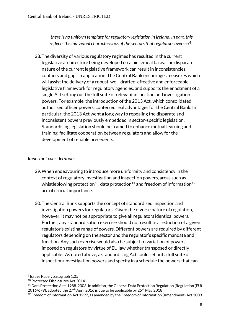'*there is no uniform template for regulatory legislation in Ireland. In part, this reflects the individual characteristics of the sectors that regulators oversee'*<sup>9</sup> .

28.The diversity of various regulatory regimes has resulted in the current legislative architecture being developed on a piecemeal basis. The disparate nature of the current legislative framework can result in inconsistencies, conflicts and gaps in application. The Central Bank encourages measures which will assist the delivery of a robust, well-drafted, effective and enforceable legislative framework for regulatory agencies, and supports the enactment of a single Act setting out the full suite of relevant inspection and investigation powers. For example, the introduction of the 2013 Act, which consolidated authorised officer powers, conferred real advantages for the Central Bank. In particular, the 2013 Act went a long way to repealing the disparate and inconsistent powers previously embedded in sector-specific legislation. Standardising legislation should be framed to enhance mutual learning and training, facilitate cooperation between regulators and allow for the development of reliable precedents.

#### *Important considerations*

- 29.When endeavouring to introduce more uniformity and consistency in the context of regulatory investigation and inspection powers, areas such as whistleblowing protection<sup>10</sup>, data protection<sup>11</sup> and freedom of information<sup>12</sup> are of crucial importance.
- 30.The Central Bank supports the concept of standardised inspection and investigation powers for regulators. Given the diverse nature of regulation, however, it may not be appropriate to give all regulators identical powers. Further, any standardisation exercise should not result in a reduction of a given regulator's existing range of powers. Different powers are required by different regulators depending on the sector and the regulator's specific mandate and function. Any such exercise would also be subject to variation of powers imposed on regulators by virtue of EU law whether transposed or directly applicable. As noted above, a standardising Act could set out a full suite of inspection/investigation powers and specify in a schedule the powers that can

**.** 

<sup>9</sup> Issues Paper, paragraph 1.05

<sup>10</sup> Protected Disclosures Act 2014

<sup>11</sup> Data Protection Acts 1988-2003. In addition, the General Data Protection Regulation (Regulation (EU) 2016/679), adopted the  $27<sup>th</sup>$  April 2016 is due to be applicable by  $25<sup>th</sup>$  May 2018

 $12$  Freedom of Information Act 1997, as amended by the Freedom of Information (Amendment) Act 2003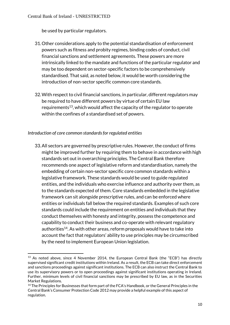be used by particular regulators.

- 31.Other considerations apply to the potential standardisation of enforcement powers such as fitness and probity regimes, binding codes of conduct, civil financial sanctions and settlement agreements. These powers are more intrinsically linked to the mandate and functions of the particular regulator and may be too dependent on sector-specific factors to be comprehensively standardised. That said, as noted below, it would be worth considering the introduction of non-sector specific common core standards.
- 32.With respect to civil financial sanctions, in particular, different regulators may be required to have different powers by virtue of certain EU law requirements<sup>13</sup>, which would affect the capacity of the regulator to operate within the confines of a standardised set of powers.

#### *Introduction of core common standards for regulated entities*

**.** 

33.All sectors are governed by prescriptive rules. However, the conduct of firms might be improved further by requiring them to behave in accordance with high standards set out in overarching principles. The Central Bank therefore recommends one aspect of legislative reform and standardisation, namely the embedding of certain non-sector specific core common standards within a legislative framework. These standards would be used to guide regulated entities, and the individuals who exercise influence and authority over them, as to the standards expected of them. Core standards embedded in the legislative framework can sit alongside prescriptive rules, and can be enforced where entities or individuals fall below the required standards. Examples of such core standards could include the requirement on entities and individuals that they conduct themselves with honesty and integrity, possess the competence and capability to conduct their business and co-operate with relevant regulatory authorities<sup>14</sup>. As with other areas, reform proposals would have to take into account the fact that regulators' ability to use principles may be circumscribed by the need to implement European Union legislation.

 $13$  As noted above, since 4 November 2014, the European Central Bank (the "ECB") has directly supervised significant credit institutions within Ireland. As a result, the ECB can take direct enforcement and sanctions proceedings against significant institutions. The ECB can also instruct the Central Bank to use its supervisory powers or to open proceedings against significant institutions operating in Ireland. Further, minimum levels of civil financial sanctions may be prescribed by EU law, as in the Securities Market Regulations.

<sup>&</sup>lt;sup>14</sup> The Principles for Businesses that form part of the FCA's Handbook, or the General Principles in the Central Bank's Consumer Protection Code 2012 may provide a helpful example of this aspect of regulation.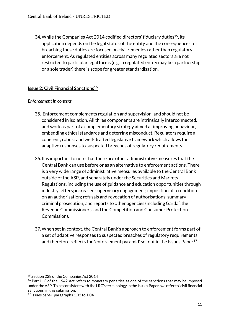34. While the Companies Act 2014 codified directors' fiduciary duties<sup>15</sup>, its application depends on the legal status of the entity and the consequences for breaching these duties are focused on civil remedies rather than regulatory enforcement. As regulated entities across many regulated sectors are not restricted to particular legal forms (e.g., a regulated entity may be a partnership or a sole trader) there is scope for greater standardisation.

# **Issue 2: Civil Financial Sanctions**<sup>16</sup>

#### *Enforcement in context*

- 35. Enforcement complements regulation and supervision, and should not be considered in isolation. All three components are intrinsically interconnected, and work as part of a complementary strategy aimed at improving behaviour, embedding ethical standards and deterring misconduct. Regulators require a coherent, robust and well-drafted legislative framework which allows for adaptive responses to suspected breaches of regulatory requirements.
- 36.It is important to note that there are other administrative measures that the Central Bank can use before or as an alternative to enforcement actions. There is a very wide range of administrative measures available to the Central Bank outside of the ASP, and separately under the Securities and Markets Regulations, including the use of guidance and education opportunities through industry letters; increased supervisory engagement; imposition of a condition on an authorisation[; refusals and revocation of authorisations;](https://www.centralbank.ie/regulation/how-we-regulate/enforcement/refusals-and-revocations) summary criminal prosecution; and reports to other agencies (including Gardaí, the Revenue Commissioners, and the Competition and Consumer Protection Commission).
- 37.When set in context, the Central Bank's approach to enforcement forms part of a set of adaptive responses to suspected breaches of regulatory requirements and therefore reflects the 'enforcement pyramid' set out in the Issues Paper<sup>17</sup>.

**<sup>.</sup>** <sup>15</sup> Section 228 of the Companies Act 2014

<sup>&</sup>lt;sup>16</sup> Part IIIC of the 1942 Act refers to monetary penalties as one of the sanctions that may be imposed under the ASP. To be consistent with the LRC's terminology in the Issues Paper, we refer to 'civil financial sanctions' in this submission.

<sup>17</sup> Issues paper, paragraphs 1.02 to 1.04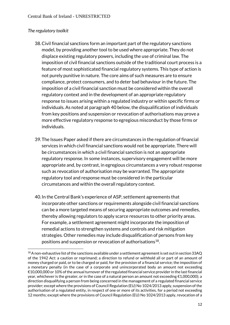#### *The regulatory toolkit*

**.** 

- 38.Civil financial sanctions form an important part of the regulatory sanctions model, by providing another tool to be used where appropriate. They do not displace existing regulatory powers, including the use of criminal law. The imposition of civil financial sanctions outside of the traditional court process is a feature of most sophisticated financial regulatory systems. This type of action is not purely punitive in nature. The core aims of such measures are to ensure compliance, protect consumers, and to deter bad behaviour in the future. The imposition of a civil financial sanction must be considered within the overall regulatory context and in the development of an appropriate regulatory response to issues arising within a regulated industry or within specific firms or individuals. As noted at paragraph [40](#page-12-0) below, the disqualification of individuals from key positions and suspension or revocation of authorisations may prove a more effective regulatory response to egregious misconduct by those firms or individuals.
- 39.The Issues Paper asked if there are circumstances in the regulation of financial services in which civil financial sanctions would not be appropriate. There will be circumstances in which a civil financial sanction is not an appropriate regulatory response. In some instances, supervisory engagement will be more appropriate and, by contrast, in egregious circumstances a very robust response such as revocation of authorisation may be warranted. The appropriate regulatory tool and response must be considered in the particular circumstances and within the overall regulatory context.
- <span id="page-12-0"></span>40.In the Central Bank's experience of ASP, settlement agreements that incorporate other sanctions or requirements alongside civil financial sanctions can be a more targeted means of securing appropriate outcomes and remedies, thereby allowing regulators to apply scarce resources to other priority areas. For example, a settlement agreement might incorporate the imposition of remedial actions to strengthen systems and controls and risk mitigation strategies. Other remedies may include disqualification of persons from key positions and suspension or revocation of authorisations<sup>18</sup>.

<sup>&</sup>lt;sup>18</sup> A non-exhaustive list of the sanctions available under a settlement agreement is set out in section 33AQ of the 1942 Act: a caution or reprimand; a direction to refund or withhold all or part of an amount of money charged or paid, or to be charged or paid, for the provision of a financial service; the imposition of a monetary penalty (in the case of a corporate and unincorporated body an amount not exceeding €10,000,000 or 10% of the annual turnover of the regulated financial service provider in the last financial year, whichever is the greater, or in the case of a natural person an amount not exceeding  $\epsilon$ 1,000,000); a direction disqualifying a person from being concerned in the management of a regulated financial service provider; except where the provisions of Council Regulation (EU) No 1024/2013 apply, suspension of the authorisation of a regulated entity, in respect of one or more of its activities, for a period not exceeding 12 months; except where the provisions of Council Regulation (EU) No 1024/2013 apply, revocation of a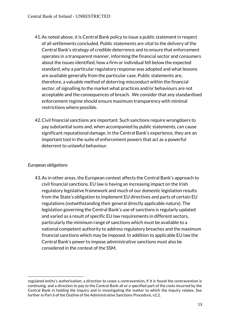- 41.As noted above, it is Central Bank policy to issue a public statement in respect of all settlements concluded. Public statements are vital to the delivery of the Central Bank's strategy of credible deterrence and to ensure that enforcement operates in a transparent manner, informing the financial sector and consumers about the issues identified, how a firm or individual fell below the expected standard, why a particular regulatory response was adopted and what lessons are available generally from the particular case. Public statements are, therefore, a valuable method of deterring misconduct within the financial sector, of signalling to the market what practices and/or behaviours are not acceptable and the consequences of breach. We consider that any standardised enforcement regime should ensure maximum transparency with minimal restrictions where possible.
- 42.Civil financial sanctions are important. Such sanctions require wrongdoers to pay substantial sums and, when accompanied by public statements, can cause significant reputational damage. In the Central Bank's experience, they are an important tool in the suite of enforcement powers that act as a powerful deterrent to unlawful behaviour.

#### *European obligations*

**.** 

43.As in other areas, the European context affects the Central Bank's approach to civil financial sanctions. EU law is having an increasing impact on the Irish regulatory legislative framework and much of our domestic legislation results from the State's obligation to implement EU directives and parts of certain EU regulations (notwithstanding their general directly applicable nature). The legislation governing the Central Bank's use of sanctions is regularly updated and varied as a result of specific EU law requirements in different sectors, particularly the minimum range of sanctions which must be available to a national competent authority to address regulatory breaches and the maximum financial sanctions which may be imposed. In addition to applicable EU law the Central Bank's power to impose administrative sanctions must also be considered in the context of the SSM.

regulated entity's authorisation; a direction to cease a contravention, if it is found the contravention is continuing; and a direction to pay to the Central Bank all or a specified part of the costs incurred by the Central Bank in holding the Inquiry and in investigating the matter to which the Inquiry relates. See further in Part 6 of the Outline of the Administrative Sanctions Procedure, v2.2.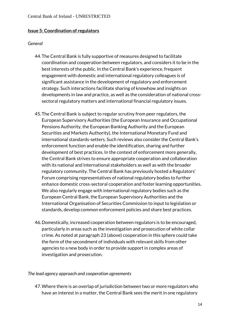#### **Issue 5: Coordination of regulators**

#### *General*

- 44.The Central Bank is fully supportive of measures designed to facilitate coordination and cooperation between regulators, and considers it to be in the best interests of the public. In the Central Bank's experience, frequent engagement with domestic and international regulatory colleagues is of significant assistance in the development of regulatory and enforcement strategy. Such interactions facilitate sharing of knowhow and insights on developments in law and practice, as well as the consideration of national crosssectoral regulatory matters and international financial regulatory issues.
- 45.The Central Bank is subject to regular scrutiny from peer regulators, the European Supervisory Authorities (the European Insurance and Occupational Pensions Authority, the European Banking Authority and the European Securities and Markets Authority), the International Monetary Fund and international standards-setters. Such reviews also consider the Central Bank's enforcement function and enable the identification, sharing and further development of best practices. In the context of enforcement more generally, the Central Bank strives to ensure appropriate cooperation and collaboration with its national and international stakeholders as well as with the broader regulatory community. The Central Bank has previously hosted a Regulators' Forum comprising representatives of national regulatory bodies to further enhance domestic cross-sectoral cooperation and foster learning opportunities. We also regularly engage with international regulatory bodies such as the European Central Bank, the European Supervisory Authorities and the International Organisation of Securities Commission to input to legislation or standards, develop common enforcement policies and share best practices.
- 46.Domestically, increased cooperation between regulators is to be encouraged, particularly in areas such as the investigation and prosecution of white collar crime. As noted at paragrap[h 23](#page-7-0) (above) cooperation in this sphere could take the form of the secondment of individuals with relevant skills from other agencies to a new body in order to provide support in complex areas of investigation and prosecution.

#### *The lead agency approach and cooperation agreements*

47.Where there is an overlap of jurisdiction between two or more regulators who have an interest in a matter, the Central Bank sees the merit in one regulatory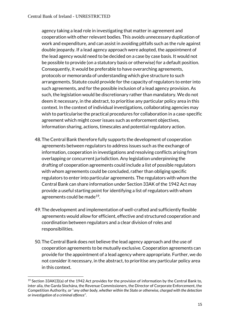agency taking a lead role in investigating that matter in agreement and cooperation with other relevant bodies. This avoids unnecessary duplication of work and expenditure, and can assist in avoiding pitfalls such as the rule against double jeopardy. If a lead agency approach were adopted, the appointment of the lead agency would need to be decided on a case by case basis. It would not be possible to provide (on a statutory basis or otherwise) for a default position. Consequently, it would be preferable to have overarching agreements, protocols or memoranda of understanding which give structure to such arrangements. Statute could provide for the capacity of regulators to enter into such agreements, and for the possible inclusion of a lead agency provision. As such, the legislation would be discretionary rather than mandatory. We do not deem it necessary, in the abstract, to prioritise any particular policy area in this context. In the context of individual investigations, collaborating agencies may wish to particularise the practical procedures for collaboration in a case-specific agreement which might cover issues such as enforcement objectives, information sharing, actions, timescales and potential regulatory action.

- 48.The Central Bank therefore fully supports the development of cooperation agreements between regulators to address issues such as the exchange of information, cooperation in investigations and resolving conflicts arising from overlapping or concurrent jurisdiction. Any legislation underpinning the drafting of cooperation agreements could include a list of possible regulators with whom agreements could be concluded, rather than obliging specific regulators to enter into particular agreements. The regulators with whom the Central Bank can share information under Section 33AK of the 1942 Act may provide a useful starting point for identifying a list of regulators with whom agreements could be made<sup>19</sup>.
- 49.The development and implementation of well-crafted and sufficiently flexible agreements would allow for efficient, effective and structured cooperation and coordination between regulators and a clear division of roles and responsibilities.
- 50.The Central Bank does not believe the lead agency approach and the use of cooperation agreements to be mutually exclusive. Cooperation agreements can provide for the appointment of a lead agency where appropriate. Further, we do not consider it necessary, in the abstract, to prioritise any particular policy area in this context.

**.** 

 $19$  Section 33AK(3)(a) of the 1942 Act provides for the provision of information by the Central Bank to, inter alia, the Garda Síochána, the Revenue Commissioners, the Director of Corporate Enforcement, the Competition Authority, or "*any other body, whether within the State or otherwise, charged with the detection or investigation of a criminal offence*".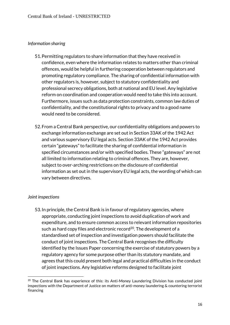#### *Information sharing*

- <span id="page-16-0"></span>51.Permitting regulators to share information that they have received in confidence, even where the information relates to matters other than criminal offences, would be helpful in furthering cooperation between regulators and promoting regulatory compliance. The sharing of confidential information with other regulators is, however, subject to statutory confidentiality and professional secrecy obligations, both at national and EU level. Any legislative reform on coordination and cooperation would need to take this into account. Furthermore, issues such as data protection constraints, common law duties of confidentiality, and the constitutional rights to privacy and to a good name would need to be considered.
- 52.From a Central Bank perspective, our confidentiality obligations and powers to exchange information exchange are set out in Section 33AK of the 1942 Act and various supervisory EU legal acts. Section 33AK of the 1942 Act provides certain "gateways" to facilitate the sharing of confidential information in specified circumstances and/or with specified bodies. These "gateways" are not all limited to information relating to criminal offences. They are, however, subject to over-arching restrictions on the disclosure of confidential information as set out in the supervisory EU legal acts, the wording of which can vary between directives.

#### *Joint inspections*

**.** 

53.In principle, the Central Bank is in favour of regulatory agencies, where appropriate, conducting joint inspections to avoid duplication of work and expenditure, and to ensure common access to relevant information repositories such as hard copy files and electronic record $20$ . The development of a standardised set of inspection and investigation powers should facilitate the conduct of joint inspections. The Central Bank recognises the difficulty identified by the Issues Paper concerning the exercise of statutory powers by a regulatory agency for some purpose other than its statutory mandate, and agrees that this could present both legal and practical difficulties in the conduct of joint inspections. Any legislative reforms designed to facilitate joint

<sup>&</sup>lt;sup>20</sup> The Central Bank has experience of this: its Anti-Money Laundering Division has conducted joint inspections with the Department of Justice on matters of anti-money laundering & countering terrorist financing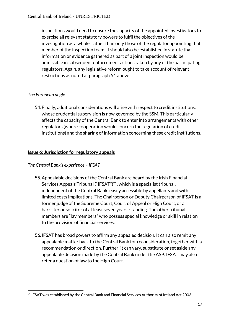inspections would need to ensure the capacity of the appointed investigators to exercise all relevant statutory powers to fulfil the objectives of the investigation as a whole, rather than only those of the regulator appointing that member of the inspection team. It should also be established in statute that information or evidence gathered as part of a joint inspection would be admissible in subsequent enforcement actions taken by any of the participating regulators. Again, any legislative reform ought to take account of relevant restrictions as noted at paragrap[h 51](#page-16-0) above.

# *The European angle*

54.Finally, additional considerations will arise with respect to credit institutions, whose prudential supervision is now governed by the SSM. This particularly affects the capacity of the Central Bank to enter into arrangements with other regulators (where cooperation would concern the regulation of credit institutions) and the sharing of information concerning these credit institutions.

# **Issue 6: Jurisdiction for regulatory appeals**

# *The Central Bank's experience – IFSAT*

- 55.Appealable decisions of the Central Bank are heard by the Irish Financial Services Appeals Tribunal ("IFSAT")<sup>21</sup>, which is a specialist tribunal, independent of the Central Bank, easily accessible by appellants and with limited costs implications. The Chairperson or Deputy Chairperson of IFSAT is a former judge of the Supreme Court, Court of Appeal or High Court, or a barrister or solicitor of at least seven years' standing. The other tribunal members are "lay members" who possess special knowledge or skill in relation to the provision of financial services.
- 56.IFSAT has broad powers to affirm any appealed decision. It can also remit any appealable matter back to the Central Bank for reconsideration, together with a recommendation or direction. Further, it can vary, substitute or set aside any appealable decision made by the Central Bank under the ASP. IFSAT may also refer a question of law to the High Court.

<sup>1</sup> <sup>21</sup> IFSAT was established by the Central Bank and Financial Services Authority of Ireland Act 2003.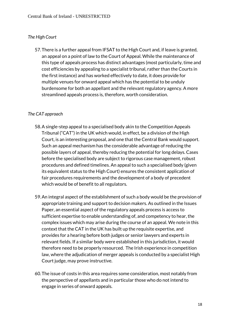#### *The High Court*

57.There is a further appeal from IFSAT to the High Court and, if leave is granted, an appeal on a point of law to the Court of Appeal. While the maintenance of this type of appeals process has distinct advantages (most particularly, time and cost efficiencies by appealing to a specialist tribunal, rather than the Courts in the first instance) and has worked effectively to date, it does provide for multiple venues for onward appeal which has the potential to be unduly burdensome for both an appellant and the relevant regulatory agency. A more streamlined appeals process is, therefore, worth consideration.

#### *The CAT approach*

- 58.A single-step appeal to a specialised body akin to the Competition Appeals Tribunal ("CAT") in the UK which would, in effect, be a division of the High Court, is an interesting proposal, and one that the Central Bank would support. Such an appeal mechanism has the considerable advantage of reducing the possible layers of appeal, thereby reducing the potential for long delays. Cases before the specialised body are subject to rigorous case management, robust procedures and defined timelines. An appeal to such a specialised body (given its equivalent status to the High Court) ensures the consistent application of fair procedures requirements and the development of a body of precedent which would be of benefit to all regulators.
- 59.An integral aspect of the establishment of such a body would be the provision of appropriate training and support to decision makers. As outlined in the Issues Paper, an essential aspect of the regulatory appeals process is access to sufficient expertise to enable understanding of, and competency to hear, the complex issues which may arise during the course of an appeal. We note in this context that the CAT in the UK has built up the requisite expertise, and provides for a hearing before both judges or senior lawyers and experts in relevant fields. If a similar body were established in this jurisdiction, it would therefore need to be properly resourced. The Irish experience in competition law, where the adjudication of merger appeals is conducted by a specialist High Court judge, may prove instructive.
- 60.The issue of costs in this area requires some consideration, most notably from the perspective of appellants and in particular those who do not intend to engage in series of onward appeals.